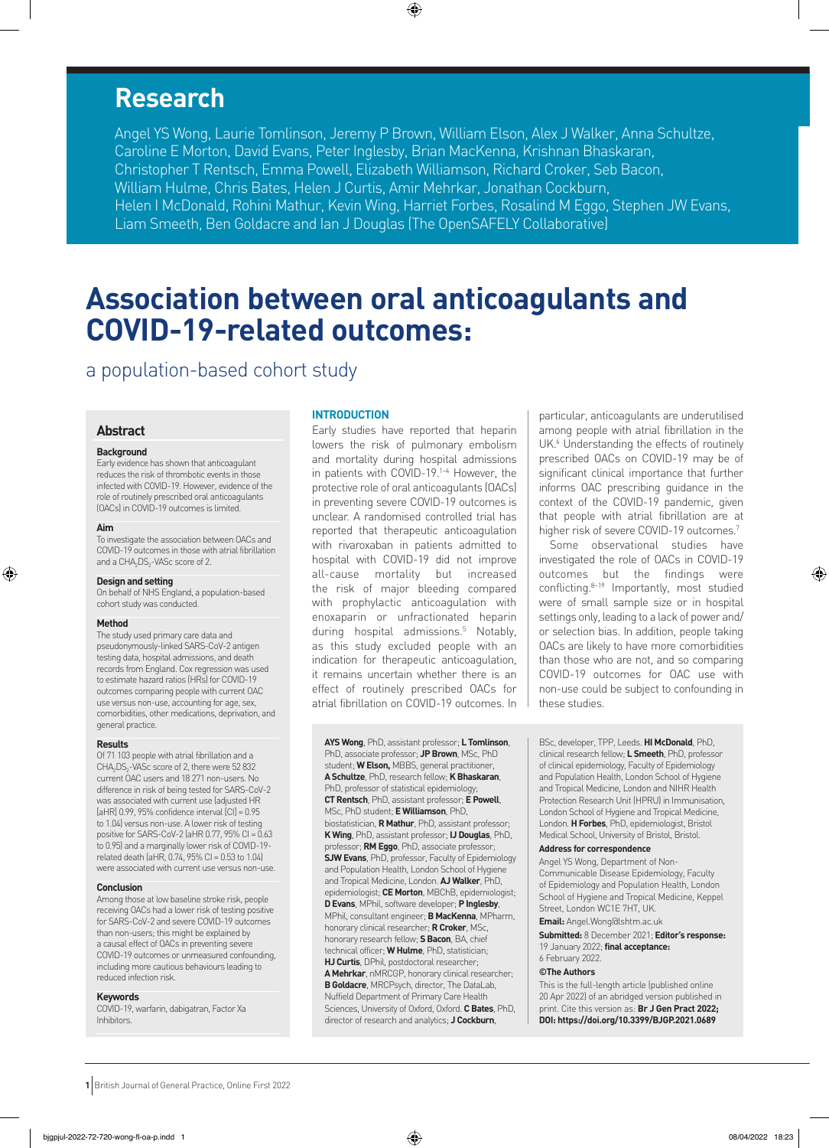# **Research**

Caroline E Morton, David Evans, Peter Inglesby, Brian MacKenna, Krishnan Bhaskaran,<br>Caroline E Morton, David Evans, Peter Inglesby, Brian MacKenna, Krishnan Bhaskaran, Schristopher T Rentsch, Emma Powell, Elizabeth Williamson, Richard Croker, Seb Bacon, Ingles Backenna, Ingles<br>Williamson, Richard College Backaran, Ingles Backenna, Ingles Backenna, Ingles Backenna, Ingles Backenna, Ingl Christopher T Rentsch, Emma Powell, Emma Powell, Emma Powell, Emma Powell, Seb Bacon, Seb Bacon, Seb Bacon, Wi<br>Bacon, Richard Cross, Seb Bacon, Seb Bacon, Seb Bacon, Seb Bacon, Seb Bacon, Seb Bacon, Seb Bacon, Seb Bacon, Angel YS Wong, Laurie Tomlinson, Jeremy P Brown, William Elson, Alex J Walker, Anna Schultze, William Hulme, Chris Bates, Helen J Curtis, Amir Mehrkar, Jonathan Cockburn, Helen I McDonald, Rohini Mathur, Kevin Wing, Harriet Forbes, Rosalind M Eggo, Stephen JW Evans, Liam Smeeth, Ben Goldacre and Ian J Douglas (The OpenSAFELY Collaborative)

⊕

# **Association between oral anticoagulants and COVID-19-related outcomes:**

a population-based cohort study

## **Abstract**

#### **Background**

Early evidence has shown that anticoagulant reduces the risk of thrombotic events in those infected with COVID-19. However, evidence of the role of routinely prescribed oral anticoagulants (OACs) in COVID-19 outcomes is limited.

#### **Aim**

⊕

To investigate the association between OACs and COVID-19 outcomes in those with atrial fibrillation and a CHA<sub>2</sub>DS<sub>2</sub>-VASc score of 2.

#### **Design and setting**

On behalf of NHS England, a population-based cohort study was conducted.

#### **Method**

The study used primary care data and pseudonymously-linked SARS-CoV-2 antigen testing data, hospital admissions, and death records from England. Cox regression was used to estimate hazard ratios (HRs) for COVID-19 outcomes comparing people with current OAC use versus non-use, accounting for age, sex, comorbidities, other medications, deprivation, and general practice.

#### **Results**

Of 71 103 people with atrial fibrillation and a CHA<sub>2</sub>DS<sub>2</sub>-VASc score of 2, there were 52 832 current OAC users and 18 271 non-users. No difference in risk of being tested for SARS-CoV-2 was associated with current use (adjusted HR  $[AHR]$  0.99, 95% confidence interval  $[CI] = 0.95$ to 1.04) versus non-use. A lower risk of testing positive for SARS-CoV-2 (aHR 0.77, 95% CI =  $0.63$ ) to 0.95) and a marginally lower risk of COVID-19 related death (aHR,  $0.74$ ,  $95\%$  CI = 0.53 to 1.04) were associated with current use versus non-use.

#### **Conclusion**

Among those at low baseline stroke risk, people receiving OACs had a lower risk of testing positive for SARS-CoV-2 and severe COVID-19 outcomes than non-users; this might be explained by a causal effect of OACs in preventing severe COVID-19 outcomes or unmeasured confounding, including more cautious behaviours leading to reduced infection risk.

# **Keywords**

COVID-19, warfarin, dabigatran, Factor Xa Inhibitors.

#### **INTRODUCTION**

Early studies have reported that heparin lowers the risk of pulmonary embolism and mortality during hospital admissions in patients with COVID-19.1–4 However, the protective role of oral anticoagulants (OACs) in preventing severe COVID-19 outcomes is unclear. A randomised controlled trial has reported that therapeutic anticoagulation with rivaroxaban in patients admitted to hospital with COVID-19 did not improve all-cause mortality but increased the risk of major bleeding compared with prophylactic anticoagulation with enoxaparin or unfractionated heparin during hospital admissions.5 Notably, as this study excluded people with an indication for therapeutic anticoagulation, it remains uncertain whether there is an effect of routinely prescribed OACs for atrial fibrillation on COVID-19 outcomes. In

**AYS Wong**, PhD, assistant professor; **L Tomlinson**, PhD, associate professor; **JP Brown**, MSc, PhD student; **W Elson,** MBBS, general practitioner, **ASchultze**, PhD, research fellow; **K Bhaskaran**, PhD, professor of statistical epidemiology; **CT Rentsch**, PhD, assistant professor; **E Powell**, MSc, PhD student; **E Williamson**, PhD, biostatistician, **R Mathur**, PhD, assistant professor; **K Wing**, PhD, assistant professor; **IJ Douglas**, PhD, professor; **RM Eggo**, PhD, associate professor; **SJW Evans**, PhD, professor, Faculty of Epidemiology and Population Health, London School of Hygiene and Tropical Medicine, London. **AJ Walker**, PhD, epidemiologist; **CE Morton**, MBChB, epidemiologist; **D Evans**, MPhil, software developer; **P Inglesby**, MPhil, consultant engineer; **B MacKenna**, MPharm, honorary clinical researcher; **R Croker**, MSc, honorary research fellow; **S Bacon**, BA, chief technical officer; **W Hulme**, PhD, statistician; **HJ Curtis**, DPhil, postdoctoral researcher; **A Mehrkar**, nMRCGP, honorary clinical researcher; **B Goldacre**, MRCPsych, director, The DataLab, Nuffield Department of Primary Care Health Sciences, University of Oxford, Oxford. **C Bates**, PhD, director of research and analytics; **J Cockburn**,

particular, anticoagulants are underutilised among people with atrial fibrillation in the UK.<sup>6</sup> Understanding the effects of routinely prescribed OACs on COVID-19 may be of significant clinical importance that further informs OAC prescribing guidance in the context of the COVID-19 pandemic, given that people with atrial fibrillation are at higher risk of severe COVID-19 outcomes.<sup>7</sup>

Some observational studies have investigated the role of OACs in COVID-19 outcomes but the findings were conflicting.8–19 Importantly, most studied were of small sample size or in hospital settings only, leading to a lack of power and/ or selection bias. In addition, people taking OACs are likely to have more comorbidities than those who are not, and so comparing COVID-19 outcomes for OAC use with non-use could be subject to confounding in these studies.

BSc, developer, TPP, Leeds. **HI McDonald**, PhD, clinical research fellow; **L Smeeth**, PhD, professor of clinical epidemiology, Faculty of Epidemiology and Population Health, London School of Hygiene and Tropical Medicine, London and NIHR Health Protection Research Unit (HPRU) in Immunisation, London School of Hygiene and Tropical Medicine, London. **H Forbes**, PhD, epidemiologist, Bristol Medical School, University of Bristol, Bristol.

# **Address for correspondence**

Angel YS Wong, Department of Non-Communicable Disease Epidemiology, Faculty of Epidemiology and Population Health, London School of Hygiene and Tropical Medicine, Keppel Street, London WC1E 7HT, UK.

**Email:** Angel.Wong@lshtm.ac.uk

**Submitted:** 8 December 2021; **Editor's response:** 19 January 2022; **final acceptance:** 

6 February 2022.

#### **©The Authors**

This is the full-length article (published online 20 Apr 2022) of an abridged version published in print. Cite this version as: **Br J Gen Pract 2022; DOI: https://doi.org/10.3399/BJGP.2021.0689**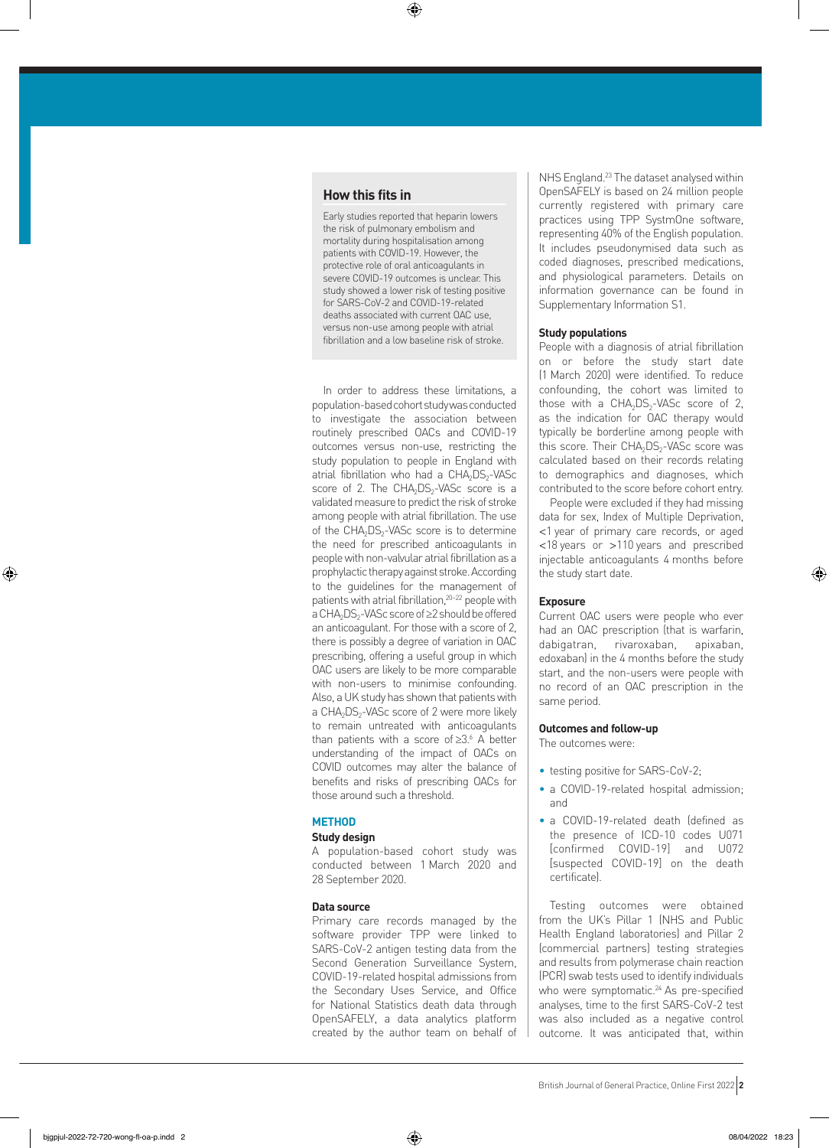# **How this fits in**

Early studies reported that heparin lowers the risk of pulmonary embolism and mortality during hospitalisation among patients with COVID-19. However, the protective role of oral anticoagulants in severe COVID-19 outcomes is unclear. This study showed a lower risk of testing positive for SARS-CoV-2 and COVID-19-related deaths associated with current OAC use, versus non-use among people with atrial fibrillation and a low baseline risk of stroke.

⊕

In order to address these limitations, a population-based cohort study was conducted to investigate the association between routinely prescribed OACs and COVID-19 outcomes versus non-use, restricting the study population to people in England with atrial fibrillation who had a CHA<sub>2</sub>DS<sub>2</sub>-VASc score of 2. The CHA<sub>2</sub>DS<sub>2</sub>-VASc score is a validated measure to predict the risk of stroke among people with atrial fibrillation. The use of the  $CHA<sub>2</sub>DS<sub>2</sub>-VASC score is to determine$ the need for prescribed anticoagulants in people with non-valvular atrial fibrillation as a prophylactic therapy against stroke. According to the guidelines for the management of patients with atrial fibrillation,<sup>20-22</sup> people with a CHA<sub>2</sub>DS<sub>2</sub>-VASc score of ≥2 should be offered an anticoagulant. For those with a score of 2, there is possibly a degree of variation in OAC prescribing, offering a useful group in which OAC users are likely to be more comparable with non-users to minimise confounding. Also, a UK study has shown that patients with a CHA<sub>2</sub>DS<sub>2</sub>-VASc score of 2 were more likely to remain untreated with anticoagulants than patients with a score of ≥3.<sup>6</sup> A better understanding of the impact of OACs on COVID outcomes may alter the balance of benefits and risks of prescribing OACs for those around such a threshold.

# **METHOD**

#### **Study design**

A population-based cohort study was conducted between 1 March 2020 and 28 September 2020.

## **Data source**

Primary care records managed by the software provider TPP were linked to SARS-CoV-2 antigen testing data from the Second Generation Surveillance System, COVID-19-related hospital admissions from the Secondary Uses Service, and Office for National Statistics death data through OpenSAFELY, a data analytics platform created by the author team on behalf of NHS England.<sup>23</sup> The dataset analysed within OpenSAFELY is based on 24 million people currently registered with primary care practices using TPP SystmOne software, representing 40% of the English population. It includes pseudonymised data such as coded diagnoses, prescribed medications, and physiological parameters. Details on information governance can be found in Supplementary Information S1.

# **Study populations**

People with a diagnosis of atrial fibrillation on or before the study start date (1 March 2020) were identified. To reduce confounding, the cohort was limited to those with a  $CHA<sub>2</sub>DS<sub>2</sub>-VASc$  score of 2, as the indication for OAC therapy would typically be borderline among people with this score. Their  $CHA<sub>2</sub>DS<sub>2</sub>$ -VASc score was calculated based on their records relating to demographics and diagnoses, which contributed to the score before cohort entry.

People were excluded if they had missing data for sex, Index of Multiple Deprivation, <1 year of primary care records, or aged <18 years or >110 years and prescribed injectable anticoagulants 4 months before the study start date.

# **Exposure**

Current OAC users were people who ever had an OAC prescription (that is warfarin, dabigatran, rivaroxaban, apixaban, edoxaban) in the 4 months before the study start, and the non-users were people with no record of an OAC prescription in the same period.

#### **Outcomes and follow-up**

The outcomes were:

- testing positive for SARS-CoV-2;
- a COVID-19-related hospital admission; and
- a COVID-19-related death (defined as the presence of ICD-10 codes U071 [confirmed COVID-19] and U072 [suspected COVID-19] on the death certificate).

Testing outcomes were obtained from the UK's Pillar 1 (NHS and Public Health England laboratories) and Pillar 2 (commercial partners) testing strategies and results from polymerase chain reaction (PCR) swab tests used to identify individuals who were symptomatic.<sup>24</sup> As pre-specified analyses, time to the first SARS-CoV-2 test was also included as a negative control outcome. It was anticipated that, within

⊕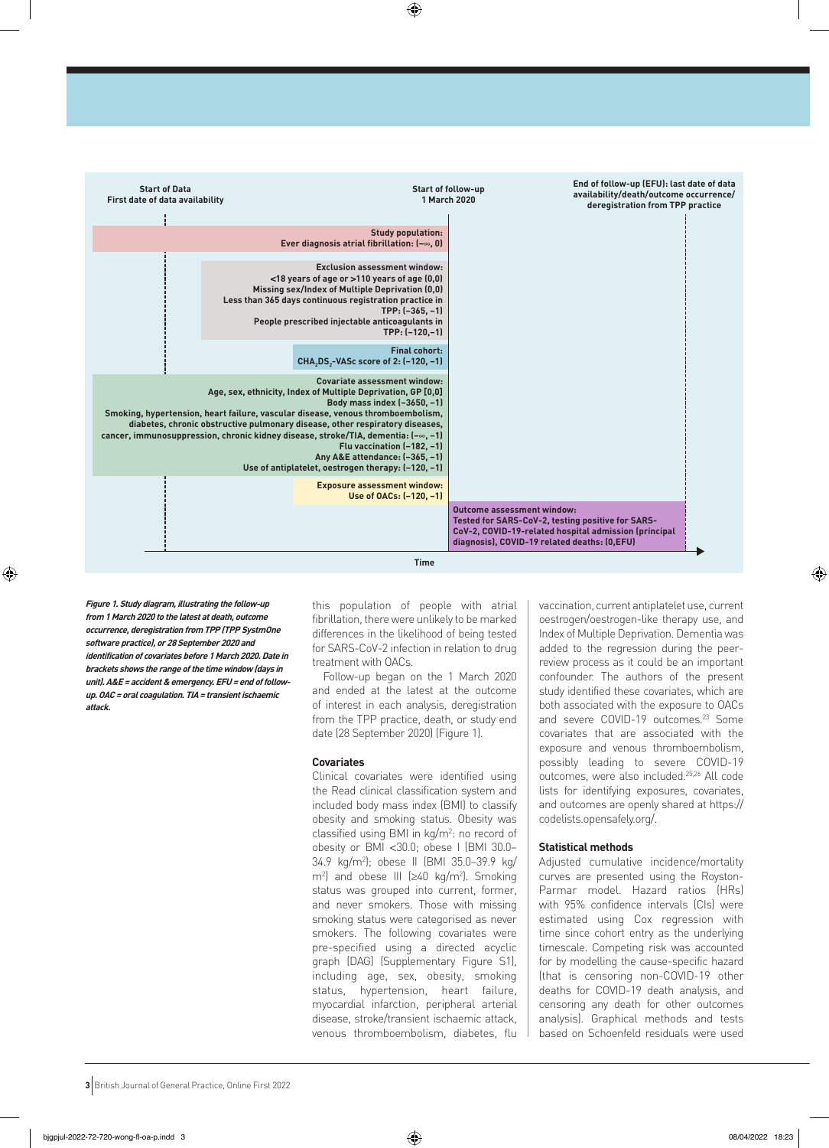

⊕

**Figure 1. Study diagram, illustrating the follow-up from 1 March 2020 to the latest at death, outcome occurrence, deregistration from TPP (TPP SystmOne software practice), or 28 September 2020 and identification of covariates before 1 March 2020. Date in brackets shows the range of the time window (days in unit). A&E <sup>=</sup> accident & emergency. EFU= end of followup. OAC= oral coagulation. TIA= transient ischaemic attack.** 

◈

this population of people with atrial fibrillation, there were unlikely to be marked differences in the likelihood of being tested for SARS-CoV-2 infection in relation to drug treatment with OACs.

Follow-up began on the 1 March 2020 and ended at the latest at the outcome of interest in each analysis, deregistration from the TPP practice, death, or study end date (28 September 2020) (Figure 1).

# **Covariates**

Clinical covariates were identified using the Read clinical classification system and included body mass index (BMI) to classify obesity and smoking status. Obesity was classified using BMI in  $kg/m^2$ : no record of obesity or BMI <30.0; obese I (BMI 30.0– 34.9 kg/m2 ); obese II (BMI 35.0–39.9 kg/  $m<sup>2</sup>$  and obese III ( $\geq 40$  kg/m<sup>2</sup>). Smoking status was grouped into current, former, and never smokers. Those with missing smoking status were categorised as never smokers. The following covariates were pre-specified using a directed acyclic graph (DAG) (Supplementary Figure S1), including age, sex, obesity, smoking status, hypertension, heart failure, myocardial infarction, peripheral arterial disease, stroke/transient ischaemic attack, venous thromboembolism, diabetes, flu vaccination, current antiplatelet use, current oestrogen/oestrogen-like therapy use, and Index of Multiple Deprivation. Dementia was added to the regression during the peerreview process as it could be an important confounder. The authors of the present study identified these covariates, which are both associated with the exposure to OACs and severe COVID-19 outcomes.<sup>23</sup> Some covariates that are associated with the exposure and venous thromboembolism, possibly leading to severe COVID-19 outcomes, were also included.25,26 All code lists for identifying exposures, covariates, and outcomes are openly shared at https:// codelists.opensafely.org/.

# **Statistical methods**

Adjusted cumulative incidence/mortality curves are presented using the Royston-Parmar model. Hazard ratios (HRs) with 95% confidence intervals (CIs) were estimated using Cox regression with time since cohort entry as the underlying timescale. Competing risk was accounted for by modelling the cause-specific hazard (that is censoring non-COVID-19 other deaths for COVID-19 death analysis, and censoring any death for other outcomes analysis). Graphical methods and tests based on Schoenfeld residuals were used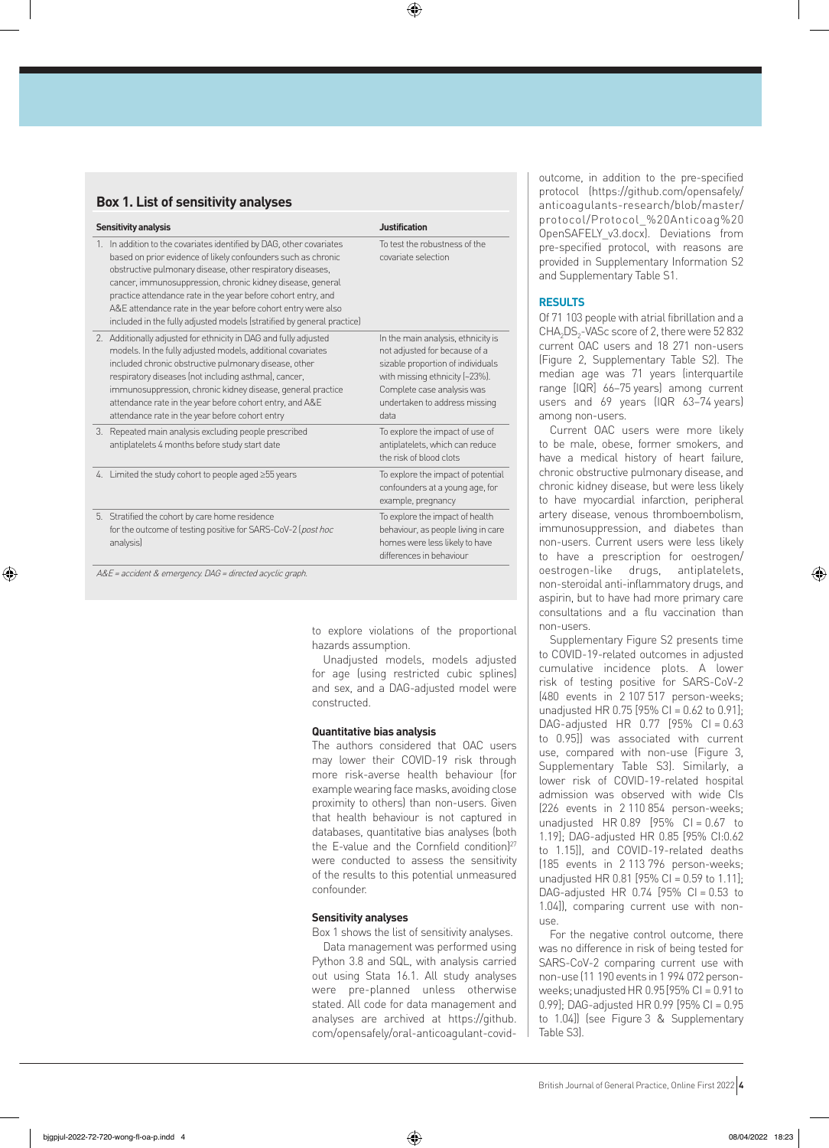$\bigoplus$ 

# **Box 1. List of sensitivity analyses**

| <b>Sensitivity analysis</b> |                                                                                                                                                                                                                                                                                                                                                                                                                                                                               | <b>Justification</b>                                                                                                                                                                                              |
|-----------------------------|-------------------------------------------------------------------------------------------------------------------------------------------------------------------------------------------------------------------------------------------------------------------------------------------------------------------------------------------------------------------------------------------------------------------------------------------------------------------------------|-------------------------------------------------------------------------------------------------------------------------------------------------------------------------------------------------------------------|
|                             | 1. In addition to the covariates identified by DAG, other covariates<br>based on prior evidence of likely confounders such as chronic<br>obstructive pulmonary disease, other respiratory diseases,<br>cancer, immunosuppression, chronic kidney disease, general<br>practice attendance rate in the year before cohort entry, and<br>A&E attendance rate in the year before cohort entry were also<br>included in the fully adjusted models (stratified by general practice) | To test the robustness of the<br>covariate selection                                                                                                                                                              |
|                             | 2. Additionally adjusted for ethnicity in DAG and fully adjusted<br>models. In the fully adjusted models, additional covariates<br>included chronic obstructive pulmonary disease, other<br>respiratory diseases (not including asthma), cancer,<br>immunosuppression, chronic kidney disease, general practice<br>attendance rate in the year before cohort entry, and A&E<br>attendance rate in the year before cohort entry                                                | In the main analysis, ethnicity is<br>not adjusted for because of a<br>sizable proportion of individuals<br>with missing ethnicity [~23%].<br>Complete case analysis was<br>undertaken to address missing<br>data |
|                             | 3. Repeated main analysis excluding people prescribed<br>antiplatelets 4 months before study start date                                                                                                                                                                                                                                                                                                                                                                       | To explore the impact of use of<br>antiplatelets, which can reduce<br>the risk of blood clots                                                                                                                     |
|                             | 4. Limited the study cohort to people aged ≥55 years                                                                                                                                                                                                                                                                                                                                                                                                                          | To explore the impact of potential<br>confounders at a young age, for<br>example, pregnancy                                                                                                                       |
|                             | 5. Stratified the cohort by care home residence<br>for the outcome of testing positive for SARS-CoV-2 (post hoc<br>analysis)                                                                                                                                                                                                                                                                                                                                                  | To explore the impact of health<br>behaviour, as people living in care<br>homes were less likely to have<br>differences in behaviour                                                                              |

A&E <sup>=</sup> accident & emergency. DAG <sup>=</sup> directed acyclic graph.

⊕

to explore violations of the proportional hazards assumption.

Unadjusted models, models adjusted for age (using restricted cubic splines) and sex, and a DAG-adjusted model were constructed.

#### **Quantitative bias analysis**

The authors considered that OAC users may lower their COVID-19 risk through more risk-averse health behaviour (for example wearing face masks, avoiding close proximity to others) than non-users. Given that health behaviour is not captured in databases, quantitative bias analyses (both the E-value and the Cornfield condition)<sup>27</sup> were conducted to assess the sensitivity of the results to this potential unmeasured confounder.

# **Sensitivity analyses**

Box 1 shows the list of sensitivity analyses. Data management was performed using Python 3.8 and SQL, with analysis carried out using Stata 16.1. All study analyses were pre-planned unless otherwise stated. All code for data management and analyses are archived at https://github. com/opensafely/oral-anticoagulant-covidoutcome, in addition to the pre-specified protocol (https://github.com/opensafely/ anticoagulants-research/blob/master/ protocol/Protocol\_%20Anticoag%20 OpenSAFELY\_v3.docx). Deviations from pre-specified protocol, with reasons are provided in Supplementary Information S2 and Supplementary Table S1.

## **RESULTS**

Of 71 103 people with atrial fibrillation and a CHA<sub>2</sub>DS<sub>2</sub>-VASc score of 2, there were 52 832 current OAC users and 18 271 non-users (Figure 2, Supplementary Table S2). The median age was 71 years (interquartile range [IQR] 66–75 years) among current users and 69 years (IQR 63–74 years) among non-users.

Current OAC users were more likely to be male, obese, former smokers, and have a medical history of heart failure, chronic obstructive pulmonary disease, and chronic kidney disease, but were less likely to have myocardial infarction, peripheral artery disease, venous thromboembolism, immunosuppression, and diabetes than non-users. Current users were less likely to have a prescription for oestrogen/ oestrogen-like drugs, antiplatelets, non-steroidal anti-inflammatory drugs, and aspirin, but to have had more primary care consultations and a flu vaccination than non-users.

Supplementary Figure S2 presents time to COVID-19-related outcomes in adjusted cumulative incidence plots. A lower risk of testing positive for SARS-CoV-2 (480 events in 2 107 517 person-weeks; unadjusted HR 0.75 [95% CI =  $0.62$  to  $0.91$ ]; DAG-adjusted HR 0.77 [95% CI = 0.63 to 0.95]) was associated with current use, compared with non-use (Figure 3, Supplementary Table S3). Similarly, a lower risk of COVID-19-related hospital admission was observed with wide CIs (226 events in 2 110 854 person-weeks; unadjusted HR  $0.89$   $[95\%$  CI =  $0.67$  to 1.19]; DAG-adjusted HR 0.85 [95% CI:0.62 to 1.15]), and COVID-19-related deaths (185 events in 2 113 796 person-weeks; unadjusted HR 0.81 [95% CI = 0.59 to 1.11]; DAG-adjusted HR  $0.74$  [95% CI = 0.53 to 1.04]), comparing current use with nonuse.

For the negative control outcome, there was no difference in risk of being tested for SARS-CoV-2 comparing current use with non-use (11 190 events in 1 994 072 personweeks; unadjusted HR  $0.95$  [95% CI = 0.91 to 0.99]; DAG-adjusted HR 0.99 [95% CI = 0.95 to 1.04]) (see Figure 3 & Supplementary Table S3).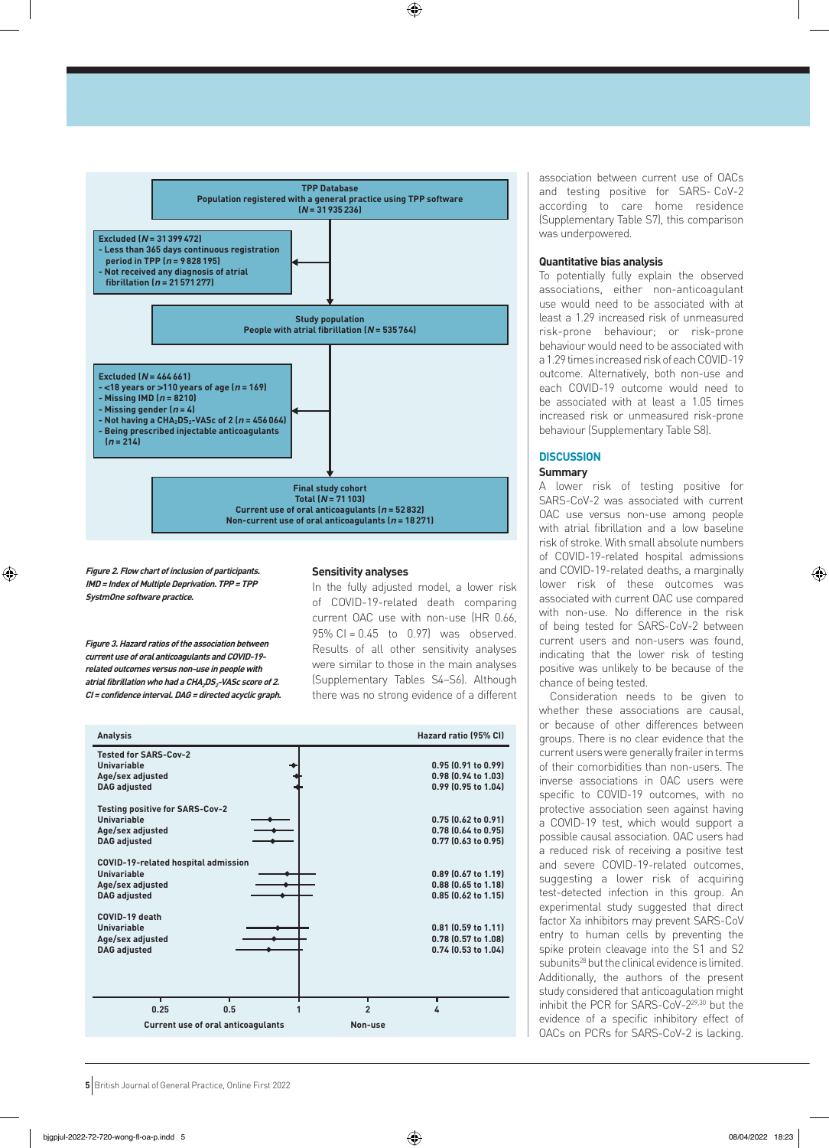⊕



**Figure 2. Flow chart of inclusion of participants. IMD= Index of Multiple Deprivation. TPP= TPP SystmOne software practice.**

◈

**Figure 3. Hazard ratios of the association between current use of oral anticoagulants and COVID-19 related outcomes versus non-use in people with atrial fibrillation who had a CHA2DS2-VASc score of 2. CI <sup>=</sup> confidence interval. DAG= directed acyclic graph.**

#### **Sensitivity analyses**

In the fully adjusted model, a lower risk of COVID-19-related death comparing current OAC use with non-use (HR 0.66, 95% CI = 0.45 to 0.97) was observed. Results of all other sensitivity analyses were similar to those in the main analyses (Supplementary Tables S4–S6). Although there was no strong evidence of a different



association between current use of OACs and testing positive for SARS- CoV-2 according to care home residence (Supplementary Table S7), this comparison was underpowered.

#### **Quantitative bias analysis**

To potentially fully explain the observed associations, either non-anticoagulant use would need to be associated with at least a 1.29 increased risk of unmeasured risk-prone behaviour; or risk-prone behaviour would need to be associated with a 1.29 times increased risk of each COVID-19 outcome. Alternatively, both non-use and each COVID-19 outcome would need to be associated with at least a 1.05 times increased risk or unmeasured risk-prone behaviour (Supplementary Table S8).

# **DISCUSSION**

# **Summary**

A lower risk of testing positive for SARS-CoV-2 was associated with current OAC use versus non-use among people with atrial fibrillation and a low baseline risk of stroke. With small absolute numbers of COVID-19-related hospital admissions and COVID-19-related deaths, a marginally lower risk of these outcomes was associated with current OAC use compared with non-use. No difference in the risk of being tested for SARS-CoV-2 between current users and non-users was found, indicating that the lower risk of testing positive was unlikely to be because of the chance of being tested.

Consideration needs to be given to whether these associations are causal, or because of other differences between groups. There is no clear evidence that the current users were generally frailer in terms of their comorbidities than non-users. The inverse associations in OAC users were specific to COVID-19 outcomes, with no protective association seen against having a COVID-19 test, which would support a possible causal association. OAC users had a reduced risk of receiving a positive test and severe COVID-19-related outcomes, suggesting a lower risk of acquiring test-detected infection in this group. An experimental study suggested that direct factor Xa inhibitors may prevent SARS-CoV entry to human cells by preventing the spike protein cleavage into the S1 and S2 subunits<sup>28</sup> but the clinical evidence is limited. Additionally, the authors of the present study considered that anticoagulation might inhibit the PCR for SARS-CoV-229,30 but the evidence of a specific inhibitory effect of OACs on PCRs for SARS-CoV-2 is lacking.

**5** British Journal of General Practice, Online First 2022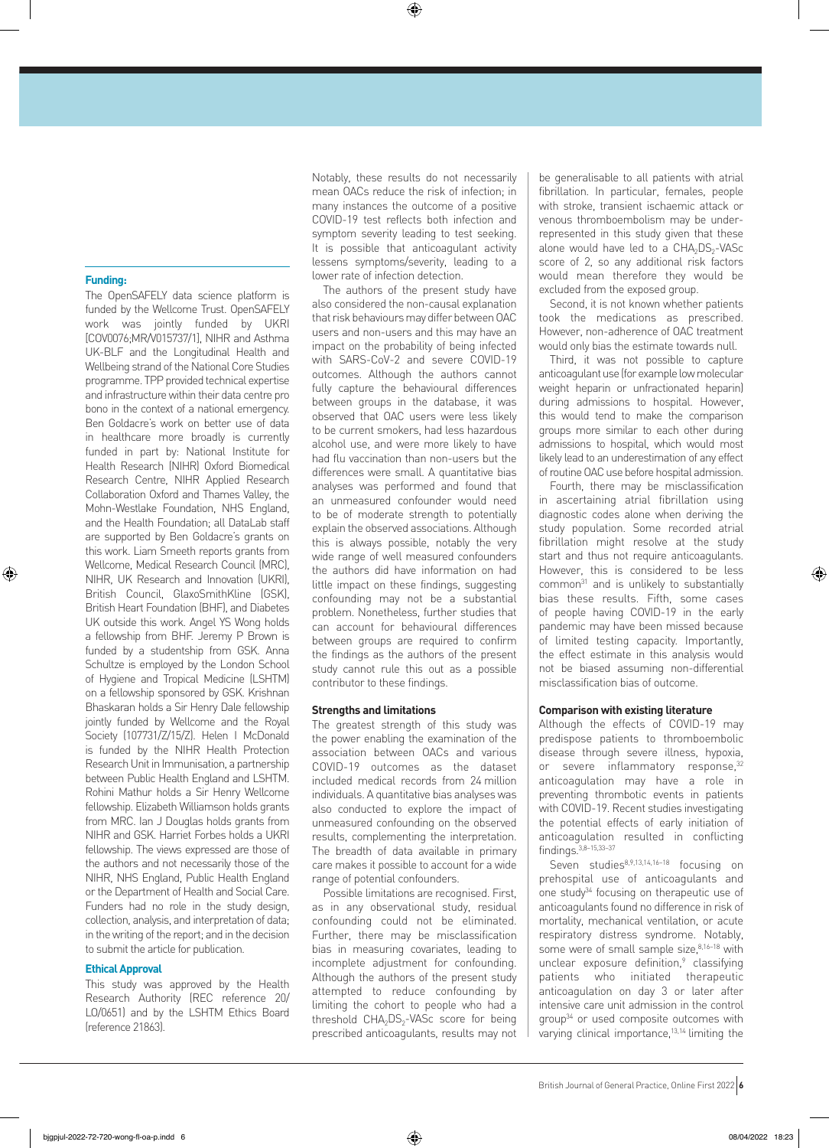## **Funding:**

⊕

The OpenSAFELY data science platform is funded by the Wellcome Trust. OpenSAFELY work was jointly funded by UKRI [COV0076;MR/V015737/1], NIHR and Asthma UK-BLF and the Longitudinal Health and Wellbeing strand of the National Core Studies programme. TPP provided technical expertise and infrastructure within their data centre pro bono in the context of a national emergency. Ben Goldacre's work on better use of data in healthcare more broadly is currently funded in part by: National Institute for Health Research (NIHR) Oxford Biomedical Research Centre, NIHR Applied Research Collaboration Oxford and Thames Valley, the Mohn-Westlake Foundation, NHS England, and the Health Foundation; all DataLab staff are supported by Ben Goldacre's grants on this work. Liam Smeeth reports grants from Wellcome, Medical Research Council (MRC), NIHR, UK Research and Innovation (UKRI), British Council, GlaxoSmithKline (GSK), British Heart Foundation (BHF), and Diabetes UK outside this work. Angel YS Wong holds a fellowship from BHF. Jeremy P Brown is funded by a studentship from GSK. Anna Schultze is employed by the London School of Hygiene and Tropical Medicine (LSHTM) on a fellowship sponsored by GSK. Krishnan Bhaskaran holds a Sir Henry Dale fellowship jointly funded by Wellcome and the Royal Society (107731/Z/15/Z). Helen I McDonald is funded by the NIHR Health Protection Research Unit in Immunisation, a partnership between Public Health England and LSHTM. Rohini Mathur holds a Sir Henry Wellcome fellowship. Elizabeth Williamson holds grants from MRC. Ian J Douglas holds grants from NIHR and GSK. Harriet Forbes holds a UKRI fellowship. The views expressed are those of the authors and not necessarily those of the NIHR, NHS England, Public Health England or the Department of Health and Social Care. Funders had no role in the study design, collection, analysis, and interpretation of data; in the writing of the report; and in the decision to submit the article for publication.

# **Ethical Approval**

This study was approved by the Health Research Authority (REC reference 20/ LO/0651) and by the LSHTM Ethics Board (reference 21863).

Notably, these results do not necessarily mean OACs reduce the risk of infection; in many instances the outcome of a positive COVID-19 test reflects both infection and symptom severity leading to test seeking. It is possible that anticoagulant activity lessens symptoms/severity, leading to a lower rate of infection detection.

⊕

The authors of the present study have also considered the non-causal explanation that risk behaviours may differ between OAC users and non-users and this may have an impact on the probability of being infected with SARS-CoV-2 and severe COVID-19 outcomes. Although the authors cannot fully capture the behavioural differences between groups in the database, it was observed that OAC users were less likely to be current smokers, had less hazardous alcohol use, and were more likely to have had flu vaccination than non-users but the differences were small. A quantitative bias analyses was performed and found that an unmeasured confounder would need to be of moderate strength to potentially explain the observed associations. Although this is always possible, notably the very wide range of well measured confounders the authors did have information on had little impact on these findings, suggesting confounding may not be a substantial problem. Nonetheless, further studies that can account for behavioural differences between groups are required to confirm the findings as the authors of the present study cannot rule this out as a possible contributor to these findings.

#### **Strengths and limitations**

The greatest strength of this study was the power enabling the examination of the association between OACs and various COVID-19 outcomes as the dataset included medical records from 24 million individuals. A quantitative bias analyses was also conducted to explore the impact of unmeasured confounding on the observed results, complementing the interpretation. The breadth of data available in primary care makes it possible to account for a wide range of potential confounders.

Possible limitations are recognised. First, as in any observational study, residual confounding could not be eliminated. Further, there may be misclassification bias in measuring covariates, leading to incomplete adjustment for confounding. Although the authors of the present study attempted to reduce confounding by limiting the cohort to people who had a threshold  $CHA<sub>2</sub>DS<sub>2</sub>-VASc$  score for being prescribed anticoagulants, results may not be generalisable to all patients with atrial fibrillation. In particular, females, people with stroke, transient ischaemic attack or venous thromboembolism may be underrepresented in this study given that these alone would have led to a  $CHA<sub>2</sub>DS<sub>2</sub>-VASC$ score of 2, so any additional risk factors would mean therefore they would be excluded from the exposed group.

Second, it is not known whether patients took the medications as prescribed. However, non-adherence of OAC treatment would only bias the estimate towards null.

Third, it was not possible to capture anticoagulant use (for example low molecular weight heparin or unfractionated heparin) during admissions to hospital. However, this would tend to make the comparison groups more similar to each other during admissions to hospital, which would most likely lead to an underestimation of any effect of routine OAC use before hospital admission.

Fourth, there may be misclassification in ascertaining atrial fibrillation using diagnostic codes alone when deriving the study population. Some recorded atrial fibrillation might resolve at the study start and thus not require anticoagulants. However, this is considered to be less common<sup>31</sup> and is unlikely to substantially bias these results. Fifth, some cases of people having COVID-19 in the early pandemic may have been missed because of limited testing capacity. Importantly, the effect estimate in this analysis would not be biased assuming non-differential misclassification bias of outcome.

# **Comparison with existing literature**

Although the effects of COVID-19 may predispose patients to thromboembolic disease through severe illness, hypoxia, or severe inflammatory response, 32 anticoagulation may have a role in preventing thrombotic events in patients with COVID-19. Recent studies investigating the potential effects of early initiation of anticoagulation resulted in conflicting findings.3,8–15,33–37

Seven studies8,9,13,14,16–18 focusing on prehospital use of anticoagulants and one study<sup>34</sup> focusing on therapeutic use of anticoagulants found no difference in risk of mortality, mechanical ventilation, or acute respiratory distress syndrome. Notably, some were of small sample size, 8,16-18 with unclear exposure definition,<sup>9</sup> classifying patients who initiated therapeutic anticoagulation on day 3 or later after intensive care unit admission in the control group34 or used composite outcomes with varying clinical importance,<sup>13,14</sup> limiting the

British Journal ofGeneralPractice, Online First 2022 **6**

⊕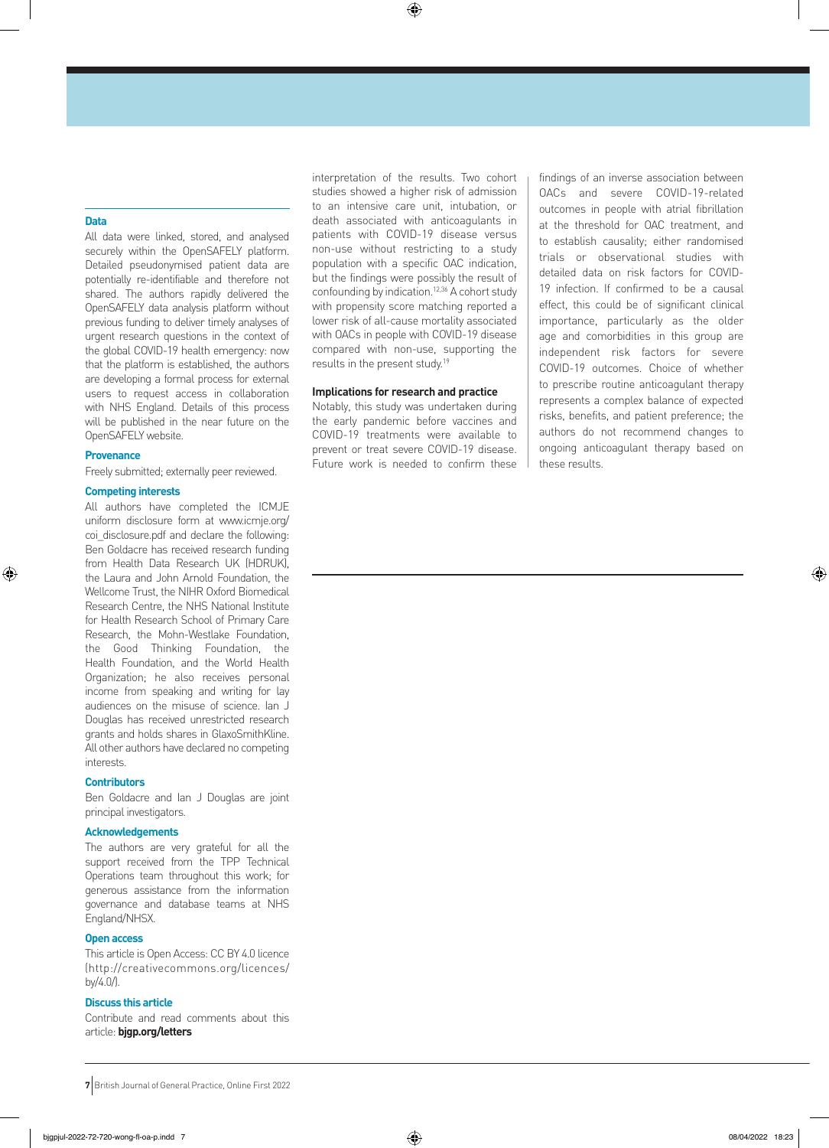# **Data**

All data were linked, stored, and analysed securely within the OpenSAFELY platform. Detailed pseudonymised patient data are potentially re-identifiable and therefore not shared. The authors rapidly delivered the OpenSAFELY data analysis platform without previous funding to deliver timely analyses of urgent research questions in the context of the global COVID-19 health emergency: now that the platform is established, the authors are developing a formal process for external users to request access in collaboration with NHS England. Details of this process will be published in the near future on the OpenSAFELY website.

# **Provenance**

⊕

Freely submitted; externally peer reviewed.

# **Competing interests**

All authors have completed the ICMJE uniform disclosure form at www.icmje.org/ coi\_disclosure.pdf and declare the following: Ben Goldacre has received research funding from Health Data Research UK (HDRUK), the Laura and John Arnold Foundation, the Wellcome Trust, the NIHR Oxford Biomedical Research Centre, the NHS National Institute for Health Research School of Primary Care Research, the Mohn-Westlake Foundation, the Good Thinking Foundation, the Health Foundation, and the World Health Organization; he also receives personal income from speaking and writing for lay audiences on the misuse of science. Ian J Douglas has received unrestricted research grants and holds shares in GlaxoSmithKline. All other authors have declared no competing interests.

#### **Contributors**

Ben Goldacre and Ian J Douglas are joint principal investigators.

# **Acknowledgements**

The authors are very grateful for all the support received from the TPP Technical Operations team throughout this work; for generous assistance from the information governance and database teams at NHS England/NHSX.

# **Open access**

This article is Open Access: CC BY 4.0 licence (http://creativecommons.org/licences/ by/4.0/).

# **Discuss this article**

Contribute and read comments about this article: **bjgp.org/letters**

interpretation of the results. Two cohort studies showed a higher risk of admission to an intensive care unit, intubation, or death associated with anticoagulants in patients with COVID-19 disease versus non-use without restricting to a study population with a specific OAC indication, but the findings were possibly the result of confounding by indication.12,36 A cohort study with propensity score matching reported a lower risk of all-cause mortality associated with OACs in people with COVID-19 disease compared with non-use, supporting the results in the present study.<sup>19</sup>

 $\bigoplus$ 

# **Implications for research and practice**

Notably, this study was undertaken during the early pandemic before vaccines and COVID-19 treatments were available to prevent or treat severe COVID-19 disease. Future work is needed to confirm these findings of an inverse association between OACs and severe COVID-19-related outcomes in people with atrial fibrillation at the threshold for OAC treatment, and to establish causality; either randomised trials or observational studies with detailed data on risk factors for COVID-19 infection. If confirmed to be a causal effect, this could be of significant clinical importance, particularly as the older age and comorbidities in this group are independent risk factors for severe COVID-19 outcomes. Choice of whether to prescribe routine anticoagulant therapy represents a complex balance of expected risks, benefits, and patient preference; the authors do not recommend changes to ongoing anticoagulant therapy based on these results.

**<sup>7</sup>** British Journal of General Practice, Online First 2022